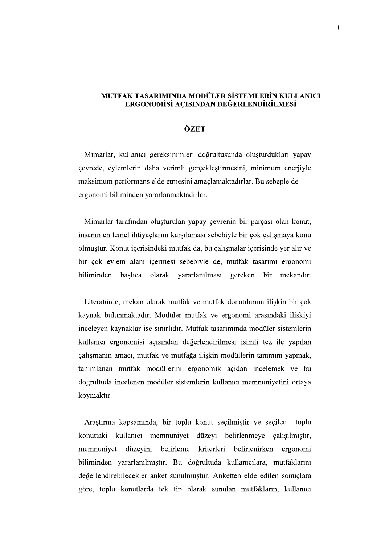## MUTFAK TASARIMINDA MODÜLER SİSTEMLERİN KULLANICI ERGONOMISI ACISINDAN DEĞERLENDİRİLMESI

## ÖZET

Mimarlar, kullanıcı gereksinimleri doğrultusunda oluşturdukları yapay<br>çevrede, eylemlerin daha verimli gerçekleştirmesini, minimum enerjiyle<br>maksimum performans elde etmesini amaclamaktadırlar. Bu sebeple de ergonomi biliminden yararlanmaktadırlar.

Mimarlar tarafından oluşturulan yapay çevrenin bir parçası olan konut, insanın en temel ihtiyaçlarını karşılaması sebebiyle bir çok çalışmaya konu olmuştur. Konut içerisindeki mutfak da, bu çalışmalar içerisinde yer alır ve bir çok eylem alanı içermesi sebebiyle de, mutfak tasarımı ergonomi biliminden başlıca olarak yararlanılması gereken bir mekandır.

Literatürde, mekan olarak mutfak ve mutfak donatılarına iliskin bir çok kaynak bulunmaktadır. Modüler mutfak ve ergonomi arasındaki ilişkiyi inceleyen kaynaklar ise sınırlıdır. Mutfak tasarımında modüler sistemlerin kullanıcı ergonomisi açısından değerlendirilmesi isimli tez ile yapılan çalışmanın amacı, mutfak ve mutfağa ilişkin modüllerin tanımını yapmak, tanımlanan mutfak modüllerini ergonomik açıdan incelemek ve bu doğrultuda incelenen modüler sistemlerin kullanıcı memnuniyetini ortaya koymaktır.

Araştırma kapsamında, bir toplu konut seçilmiştir ve seçilen toplu konuttaki kullanıcı memnuniyet düzeyi belirlenmeye çalışılmıştır, memnuniyet düzeyini belirleme kriterleri belirlenirken ergonomi biliminden yararlanılmıştır. Bu doğrultuda kullanıcılara, mutfaklarını değerlendirebilecekler anket sunulmuştur. Anketten elde edilen sonuçlara göre, toplu konutlarda tek tip olarak sunulan mutfakların, kullanıcı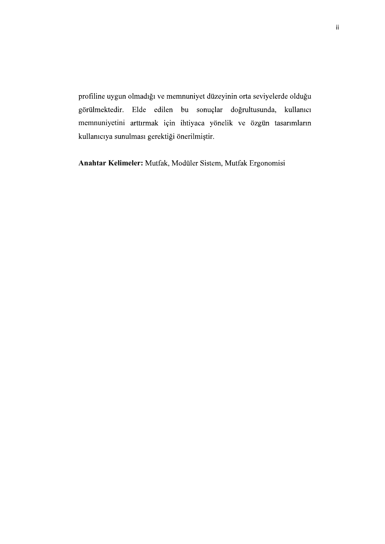profiline uygun olmadığı ve memnuniyet düzeyinin orta seviyelerde olduğu görülmektedir. Elde edilen bu sonuçlar doğrultusunda, kullanıcı memnuniyetini arttırmak için ihtiyaca yönelik ve özgün tasarımların kullanıcıya sunulması gerektiği önerilmiştir.

Anahtar Kelimeler: Mutfak, Modüler Sistem, Mutfak Ergonomisi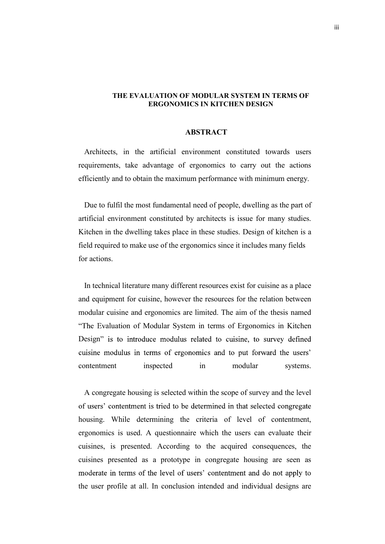## THE EVALUATION OF MODULAR SYSTEM IN TERMS OF ERGONOMICS IN KITCHEN DESIGN

## **ABSTRACT**

 Architects, in the artificial environment constituted towards users requirements, take advantage of ergonomics to carry out the actions efficiently and to obtain the maximum performance with minimum energy.

 Due to fulfil the most fundamental need of people, dwelling as the part of artificial environment constituted by architects is issue for many studies. Kitchen in the dwelling takes place in these studies. Design of kitchen is a field required to make use of the ergonomics since it includes many fields for actions.

 In technical literature many different resources exist for cuisine as a place and equipment for cuisine, however the resources for the relation between modular cuisine and ergonomics are limited. The aim of the thesis named "The Evaluation of Modular System in terms of Ergonomics in Kitchen Design" is to introduce modulus related to cuisine, to survey defined cuisine modulus in terms of ergonomics and to put forward the users' contentment inspected in modular systems.

 A congregate housing is selected within the scope of survey and the level of users' contentment is tried to be determined in that selected congregate housing. While determining the criteria of level of contentment, ergonomics is used. A questionnaire which the users can evaluate their cuisines, is presented. According to the acquired consequences, the cuisines presented as a prototype in congregate housing are seen as moderate in terms of the level of users' contentment and do not apply to the user profile at all. In conclusion intended and individual designs are